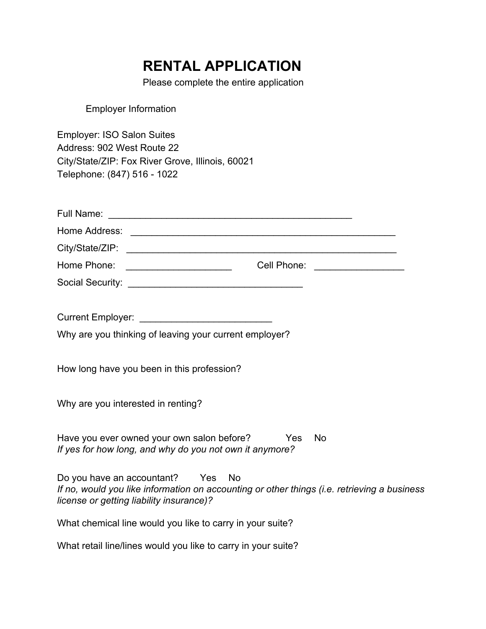## **RENTAL APPLICATION**

Please complete the entire application

Employer Information

Employer: ISO Salon Suites Address: 902 West Route 22 City/State/ZIP: Fox River Grove, Illinois, 60021 Telephone: (847) 516 - 1022

| Full Name:                                                 |                                                                                                                      |  |
|------------------------------------------------------------|----------------------------------------------------------------------------------------------------------------------|--|
| Home Address:                                              | <u> 1980 - Jan Barat, margaret eta biztanleria (h. 1980).</u>                                                        |  |
| City/State/ZIP:                                            | <u> Andreas Andreas Andreas Andreas Andreas Andreas Andreas Andreas Andreas Andreas Andreas Andreas Andreas Andr</u> |  |
| Home Phone:<br><u> 1980 - Jan Samuel Barbara, martin d</u> | Cell Phone: <u>__________________</u>                                                                                |  |
| Social Security:                                           |                                                                                                                      |  |
|                                                            |                                                                                                                      |  |
| <b>Current Employer:</b>                                   |                                                                                                                      |  |

Why are you thinking of leaving your current employer?

How long have you been in this profession?

Why are you interested in renting?

Have you ever owned your own salon before? Yes No *If yes for how long, and why do you not own it anymore?*

Do you have an accountant? Yes No *If no, would you like information on accounting or other things (i.e. retrieving a business license or getting liability insurance)?*

What chemical line would you like to carry in your suite?

What retail line/lines would you like to carry in your suite?